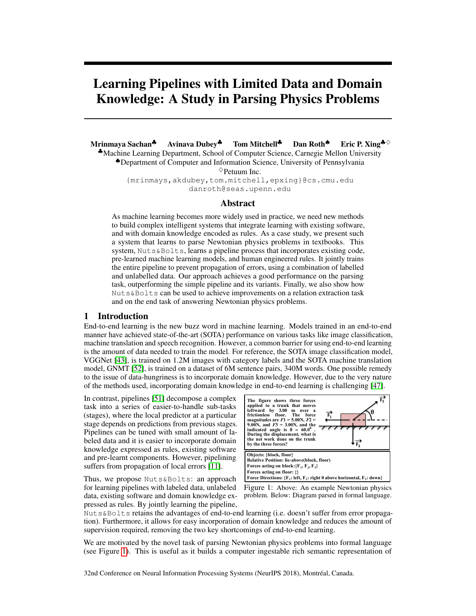# Learning Pipelines with Limited Data and Domain Knowledge: A Study in Parsing Physics Problems

Mrinmaya Sachan<sup>♣</sup> Avinava Dubey<sup>♣</sup> Tom Mitchell<sup>♣</sup> Dan Roth<sup>◈ Eric P. Xing<sup>♣◇</sup></sup> ♣Machine Learning Department, School of Computer Science, Carnegie Mellon University ♠Department of Computer and Information Science, University of Pennsylvania

 $\Diamond$  Petuum Inc.

{mrinmays,akdubey,tom.mitchell,epxing}@cs.cmu.edu danroth@seas.upenn.edu

#### Abstract

As machine learning becomes more widely used in practice, we need new methods to build complex intelligent systems that integrate learning with existing software, and with domain knowledge encoded as rules. As a case study, we present such a system that learns to parse Newtonian physics problems in textbooks. This system, Nuts&Bolts, learns a pipeline process that incorporates existing code, pre-learned machine learning models, and human engineered rules. It jointly trains the entire pipeline to prevent propagation of errors, using a combination of labelled and unlabelled data. Our approach achieves a good performance on the parsing task, outperforming the simple pipeline and its variants. Finally, we also show how Nuts&Bolts can be used to achieve improvements on a relation extraction task and on the end task of answering Newtonian physics problems.

#### 1 Introduction

End-to-end learning is the new buzz word in machine learning. Models trained in an end-to-end manner have achieved state-of-the-art (SOTA) performance on various tasks like image classification, machine translation and speech recognition. However, a common barrier for using end-to-end learning is the amount of data needed to train the model. For reference, the SOTA image classification model, VGGNet [43], is trained on 1.2M images with category labels and the SOTA machine translation model, GNMT [52], is trained on a dataset of 6M sentence pairs, 340M words. One possible remedy to the issue of data-hungriness is to incorporate domain knowledge. However, due to the very nature of the methods used, incorporating domain knowledge in end-to-end learning is challenging [47].

In contrast, pipelines [51] decompose a complex task into a series of easier-to-handle sub-tasks (stages), where the local predictor at a particular stage depends on predictions from previous stages. Pipelines can be tuned with small amount of labeled data and it is easier to incorporate domain knowledge expressed as rules, existing software and pre-learnt components. However, pipelining suffers from propagation of local errors [11].

Thus, we propose Nuts&Bolts: an approach for learning pipelines with labeled data, unlabeled data, existing software and domain knowledge expressed as rules. By jointly learning the pipeline,



Figure 1: Above: An example Newtonian physics problem. Below: Diagram parsed in formal language.

Nuts&Bolts retains the advantages of end-to-end learning (i.e. doesn't suffer from error propagation). Furthermore, it allows for easy incorporation of domain knowledge and reduces the amount of supervision required, removing the two key shortcomings of end-to-end learning.

We are motivated by the novel task of parsing Newtonian physics problems into formal language (see Figure 1). This is useful as it builds a computer ingestable rich semantic representation of

32nd Conference on Neural Information Processing Systems (NeurIPS 2018), Montréal, Canada.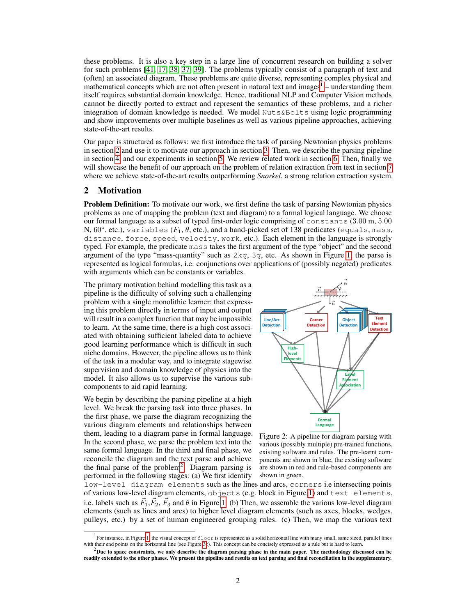these problems. It is also a key step in a large line of concurrent research on building a solver for such problems [41, 17, 38, 37, 39]. The problems typically consist of a paragraph of text and (often) an associated diagram. These problems are quite diverse, representing complex physical and mathematical concepts which are not often present in natural text and images<sup>1</sup> – understanding them itself requires substantial domain knowledge. Hence, traditional NLP and Computer Vision methods cannot be directly ported to extract and represent the semantics of these problems, and a richer integration of domain knowledge is needed. We model Nuts&Bolts using logic programming and show improvements over multiple baselines as well as various pipeline approaches, achieving state-of-the-art results.

Our paper is structured as follows: we first introduce the task of parsing Newtonian physics problems in section 2 and use it to motivate our approach in section 3. Then, we describe the parsing pipeline in section 4, and our experiments in section 5. We review related work in section 6. Then, finally we will showcase the benefit of our approach on the problem of relation extraction from text in section 7 where we achieve state-of-the-art results outperforming *Snorkel*, a strong relation extraction system.

### 2 Motivation

**Problem Definition:** To motivate our work, we first define the task of parsing Newtonian physics problems as one of mapping the problem (text and diagram) to a formal logical language. We choose our formal language as a subset of typed first-order logic comprising of constants (3.00 m, 5.00 N, 60°, etc.), variables ( $F_1, \theta$ , etc.), and a hand-picked set of 138 predicates (equals, mass, distance, force, speed, velocity, work, etc.). Each element in the language is strongly typed. For example, the predicate mass takes the first argument of the type "object" and the second argument of the type "mass-quantity" such as  $2kg$ ,  $3g$ , etc. As shown in Figure 1, the parse is represented as logical formulas, i.e. conjunctions over applications of (possibly negated) predicates with arguments which can be constants or variables.

The primary motivation behind modelling this task as a pipeline is the difficulty of solving such a challenging problem with a single monolithic learner; that expressing this problem directly in terms of input and output will result in a complex function that may be impossible to learn. At the same time, there is a high cost associated with obtaining sufficient labeled data to achieve good learning performance which is difficult in such niche domains. However, the pipeline allows us to think of the task in a modular way, and to integrate stagewise supervision and domain knowledge of physics into the model. It also allows us to supervise the various subcomponents to aid rapid learning.

We begin by describing the parsing pipeline at a high level. We break the parsing task into three phases. In the first phase, we parse the diagram recognizing the various diagram elements and relationships between them, leading to a diagram parse in formal language. In the second phase, we parse the problem text into the same formal language. In the third and final phase, we reconcile the diagram and the text parse and achieve the final parse of the problem<sup>2</sup>. Diagram parsing is performed in the following stages: (a) We first identify



Figure 2: A pipeline for diagram parsing with various (possibly multiple) pre-trained functions, existing software and rules. The pre-learnt components are shown in blue, the existing software are shown in red and rule-based components are shown in green.

low-level diagram elements such as the lines and arcs, corners i.e intersecting points of various low-level diagram elements, objects (e.g. block in Figure 1) and text elements, i.e. labels such as  $\vec{F}_1, \vec{F}_2, \vec{F}_3$  and  $\theta$  in Figure 1. (b) Then, we assemble the various low-level diagram elements (such as lines and arcs) to higher level diagram elements (such as axes, blocks, wedges, pulleys, etc.) by a set of human engineered grouping rules. (c) Then, we map the various text

<sup>&</sup>lt;sup>1</sup> For instance, in Figure 1, the visual concept of  $f$ loor is represented as a solid horizontal line with many small, same sized, parallel lines with their end points on the horizontal line (see Figure 3c). This concept can be concisely expressed as a rule but is hard to learn.

 $^2$ Due to space constraints, we only describe the diagram parsing phase in the main paper. The methodology discussed can be readily extended to the other phases. We present the pipeline and results on text parsing and final reconciliation in the supplementary.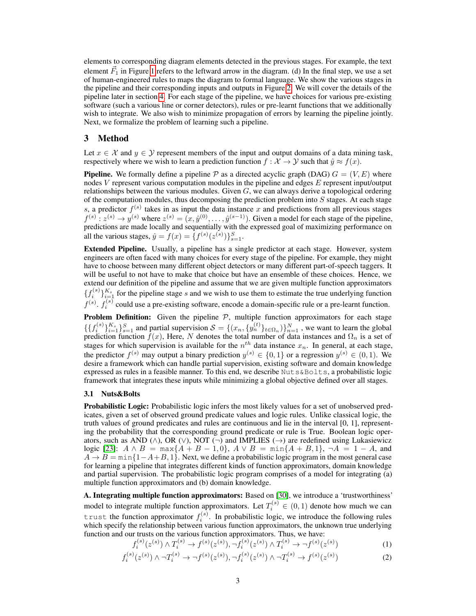elements to corresponding diagram elements detected in the previous stages. For example, the text element  $\vec{F}_1$  in Figure 1 refers to the leftward arrow in the diagram. (d) In the final step, we use a set of human-engineered rules to maps the diagram to formal language. We show the various stages in the pipeline and their corresponding inputs and outputs in Figure 2. We will cover the details of the pipeline later in section 4. For each stage of the pipeline, we have choices for various pre-existing software (such a various line or corner detectors), rules or pre-learnt functions that we additionally wish to integrate. We also wish to minimize propagation of errors by learning the pipeline jointly. Next, we formalize the problem of learning such a pipeline.

## 3 Method

Let  $x \in \mathcal{X}$  and  $y \in \mathcal{Y}$  represent members of the input and output domains of a data mining task, respectively where we wish to learn a prediction function  $f : \mathcal{X} \to \mathcal{Y}$  such that  $\hat{y} \approx f(x)$ .

**Pipeline.** We formally define a pipeline P as a directed acyclic graph (DAG)  $G = (V, E)$  where nodes  $V$  represent various computation modules in the pipeline and edges  $E$  represent input/output relationships between the various modules. Given  $G$ , we can always derive a topological ordering of the computation modules, thus decomposing the prediction problem into  $S$  stages. At each stage s, a predictor  $f^{(s)}$  takes in as input the data instance x and predictions from all previous stages  $f^{(s)}: z^{(s)} \to y^{(s)}$  where  $z^{(s)} = (x, \hat{y}^{(0)}, \dots, \hat{y}^{(s-1)})$ . Given a model for each stage of the pipeline, predictions are made locally and sequentially with the expressed goal of maximizing performance on all the various stages,  $\hat{y} = f(x) = \{f^{(s)}(z^{(s)})\}_{s=1}^{S}$ .

Extended Pipeline. Usually, a pipeline has a single predictor at each stage. However, system engineers are often faced with many choices for every stage of the pipeline. For example, they might have to choose between many different object detectors or many different part-of-speech taggers. It will be useful to not have to make that choice but have an ensemble of these choices. Hence, we extend our definition of the pipeline and assume that we are given multiple function approximators  $\{f_i^{(s)}\}_{i=1}^{K_s}$  for the pipeline stage s and we wish to use them to estimate the true underlying function  $f^{(s)}$ .  $f_i^{(s)}$  could use a pre-existing software, encode a domain-specific rule or a pre-learnt function.

**Problem Definition:** Given the pipeline  $P$ , multiple function approximators for each stage  $\{\{f_i^{(s)}\}_{i=1}^K\}_{s=1}^S$  and partial supervision  $S = \{(x_n, \{y_n^{(t)}\}_{t \in \Omega_n})\}_{n=1}^N$ , we want to learn the global prediction function  $f(x)$ , Here, N denotes the total number of data instances and  $\Omega_n$  is a set of stages for which supervision is available for the  $n^{th}$  data instance  $x_n$ . In general, at each stage, the predictor  $f^{(s)}$  may output a binary prediction  $y^{(s)} \in \{0,1\}$  or a regression  $y^{(s)} \in (0,1)$ . We desire a framework which can handle partial supervision, existing software and domain knowledge expressed as rules in a feasible manner. To this end, we describe Nuts&Bolts, a probabilistic logic framework that integrates these inputs while minimizing a global objective defined over all stages.

#### 3.1 Nuts&Bolts

Probabilistic Logic: Probabilistic logic infers the most likely values for a set of unobserved predicates, given a set of observed ground predicate values and logic rules. Unlike classical logic, the truth values of ground predicates and rules are continuous and lie in the interval [0, 1], representing the probability that the corresponding ground predicate or rule is True. Boolean logic operators, such as AND ( $\land$ ), OR ( $\lor$ ), NOT (¬) and IMPLIES (→) are redefined using Lukasiewicz logic [23]:  $A \wedge B = \max\{A + B - 1, 0\}$ ,  $A \vee B = \min\{A + B, 1\}$ ,  $\neg A = 1 - A$ , and  $A \rightarrow B = \min\{1-A+B, 1\}$ . Next, we define a probabilistic logic program in the most general case for learning a pipeline that integrates different kinds of function approximators, domain knowledge and partial supervision. The probabilistic logic program comprises of a model for integrating (a) multiple function approximators and (b) domain knowledge.

A. Integrating multiple function approximators: Based on [30], we introduce a 'trustworthiness' model to integrate multiple function approximators. Let  $T_i^{(s)} \in (0,1)$  denote how much we can trust the function approximator  $f_i^{(s)}$ . In probabilistic logic, we introduce the following rules which specify the relationship between various function approximators, the unknown true underlying function and our trusts on the various function approximators. Thus, we have:

$$
f_i^{(s)}(z^{(s)}) \wedge T_i^{(s)} \to f^{(s)}(z^{(s)}), \neg f_i^{(s)}(z^{(s)}) \wedge T_i^{(s)} \to \neg f^{(s)}(z^{(s)})
$$
(1)

$$
f_i^{(s)}(z^{(s)}) \wedge \neg T_i^{(s)} \to \neg f^{(s)}(z^{(s)}), \neg f_i^{(s)}(z^{(s)}) \wedge \neg T_i^{(s)} \to f^{(s)}(z^{(s)})
$$
(2)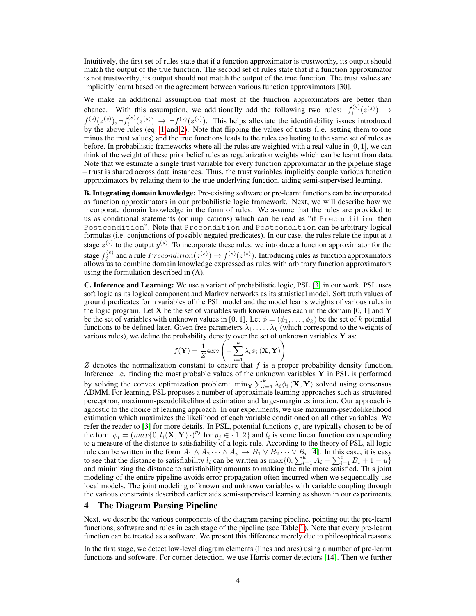Intuitively, the first set of rules state that if a function approximator is trustworthy, its output should match the output of the true function. The second set of rules state that if a function approximator is not trustworthy, its output should not match the output of the true function. The trust values are implicitly learnt based on the agreement between various function approximators [30].

We make an additional assumption that most of the function approximators are better than chance. With this assumption, we additionally add the following two rules:  $f_i^{(s)}(z^{(s)}) \rightarrow$  $f^{(s)}(z^{(s)})$ ,  $\neg f_i^{(s)}(z^{(s)}) \rightarrow \neg f^{(s)}(z^{(s)})$ . This helps alleviate the identifiability issues introduced by the above rules (eq. 1 and 2). Note that flipping the values of trusts (i.e. setting them to one minus the trust values) and the true functions leads to the rules evaluating to the same set of rules as before. In probabilistic frameworks where all the rules are weighted with a real value in  $[0, 1]$ , we can think of the weight of these prior belief rules as regularization weights which can be learnt from data. Note that we estimate a single trust variable for every function approximator in the pipeline stage – trust is shared across data instances. Thus, the trust variables implicitly couple various function approximators by relating them to the true underlying function, aiding semi-supervised learning.

B. Integrating domain knowledge: Pre-existing software or pre-learnt functions can be incorporated as function approximators in our probabilistic logic framework. Next, we will describe how we incorporate domain knowledge in the form of rules. We assume that the rules are provided to us as conditional statements (or implications) which can be read as "if Precondition then Postcondition". Note that Precondition and Postcondition can be arbitrary logical formulas (i.e. conjunctions of possibly negated predicates). In our case, the rules relate the input at a stage  $z^{(s)}$  to the output  $y^{(s)}$ . To incorporate these rules, we introduce a function approximator for the stage  $f_j^{(s)}$  and a rule  $Precondition(z^{(s)}) \rightarrow f^{(s)}(z^{(s)})$ . Introducing rules as function approximators allows us to combine domain knowledge expressed as rules with arbitrary function approximators using the formulation described in (A).

C. Inference and Learning: We use a variant of probabilistic logic, PSL [3] in our work. PSL uses soft logic as its logical component and Markov networks as its statistical model. Soft truth values of ground predicates form variables of the PSL model and the model learns weights of various rules in the logic program. Let X be the set of variables with known values each in the domain [0, 1] and Y be the set of variables with unknown values in [0, 1]. Let  $\phi = (\phi_1, \dots, \phi_k)$  be the set of k potential functions to be defined later. Given free parameters  $\lambda_1, \ldots, \lambda_k$  (which correspond to the weights of various rules), we define the probability density over the set of unknown variables  $Y$  as:

$$
f(\mathbf{Y}) = \frac{1}{Z} \exp\left(-\sum_{i=1}^{k} \lambda_i \phi_i(\mathbf{X}, \mathbf{Y})\right)
$$

Z denotes the normalization constant to ensure that f is a proper probability density function. Inference i.e. finding the most probable values of the unknown variables Y in PSL is performed by solving the convex optimization problem:  $\min_{\mathbf{Y}} \sum_{i=1}^{k} \lambda_i \phi_i(\mathbf{X}, \mathbf{Y})$  solved using consensus ADMM. For learning, PSL proposes a number of approximate learning approaches such as structured perceptron, maximum-pseudolikelihood estimation and large-margin estimation. Our approach is agnostic to the choice of learning approach. In our experiments, we use maximum-pseudolikelihood estimation which maximizes the likelihood of each variable conditioned on all other variables. We refer the reader to [3] for more details. In PSL, potential functions  $\phi_i$  are typically chosen to be of the form  $\phi_i = (max\{0, l_i(\mathbf{X}, \mathbf{Y})\})^{p_i}$  for  $p_j \in \{1, 2\}$  and  $l_i$  is some linear function corresponding to a measure of the distance to satisfiability of a logic rule. According to the theory of PSL, all logic rule can be written in the form  $A_1 \wedge A_2 \cdots \wedge A_u \to B_1 \vee B_2 \cdots \vee B_v$  [4]. In this case, it is easy to see that the distance to satisfiability  $l_i$  can be written as  $\max\{0, \sum_{i=1}^{u} A_i - \sum_{i=1}^{v} B_i + 1 - u\}$ and minimizing the distance to satisfiability amounts to making the rule more satisfied. This joint modeling of the entire pipeline avoids error propagation often incurred when we sequentially use local models. The joint modeling of known and unknown variables with variable coupling through the various constraints described earlier aids semi-supervised learning as shown in our experiments.

#### 4 The Diagram Parsing Pipeline

Next, we describe the various components of the diagram parsing pipeline, pointing out the pre-learnt functions, software and rules in each stage of the pipeline (see Table 1). Note that every pre-learnt function can be treated as a software. We present this difference merely due to philosophical reasons.

In the first stage, we detect low-level diagram elements (lines and arcs) using a number of pre-learnt functions and software. For corner detection, we use Harris corner detectors [14]. Then we further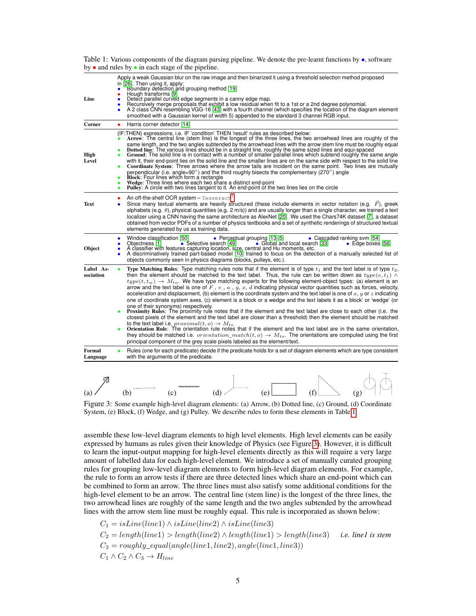| Line                   | Apply a weak Gaussian blur on the raw image and then binarized it using a threshold selection method proposed<br>in [26]. Then using it, apply:<br>Boundary detection and grouping method [19]<br>Hough transforms [9]<br>Detect parallel curved edge segments in a canny edge map.<br>$\bullet$<br>Becursively merge proposals that exhibit a low residual when fit to a 1st or a 2nd degree polynomial.<br>A 2 class CNN resembling VGG-16 [43] with a fourth channel (which specifies the location of the diagram element<br>٠<br>$\bullet$<br>smoothed with a Gaussian kernel of width 5) appended to the standard 3 channel RGB input.                                                                                                                                                                                                                                                                                                                                                                                                                                                                                                                                                                                                                                                                                                                                                                                                                          |
|------------------------|----------------------------------------------------------------------------------------------------------------------------------------------------------------------------------------------------------------------------------------------------------------------------------------------------------------------------------------------------------------------------------------------------------------------------------------------------------------------------------------------------------------------------------------------------------------------------------------------------------------------------------------------------------------------------------------------------------------------------------------------------------------------------------------------------------------------------------------------------------------------------------------------------------------------------------------------------------------------------------------------------------------------------------------------------------------------------------------------------------------------------------------------------------------------------------------------------------------------------------------------------------------------------------------------------------------------------------------------------------------------------------------------------------------------------------------------------------------------|
| Corner                 | Harris corner detector [14]<br>$\bullet$                                                                                                                                                                                                                                                                                                                                                                                                                                                                                                                                                                                                                                                                                                                                                                                                                                                                                                                                                                                                                                                                                                                                                                                                                                                                                                                                                                                                                             |
| High<br>Level          | {IF:THEN} expressions, i.e. IF 'condition' THEN 'result' rules as described below:<br>Arrow: The central line (stem line) is the longest of the three lines, the two arrowhead lines are roughly of the<br>same length, and the two angles subtended by the arrowhead lines with the arrow stem line must be roughly equal<br>Dotted line: The various lines should be in a straight line, roughly the same sized lines and equi-spaced<br>Ground: The solid line is in contact with a number of smaller parallel lines which subtend roughly the same angle<br>with it, their end-point lies on the solid line and the smaller lines are on the same side with respect to the solid line<br>Coordinate System: Three arrows where the arrow tails are incident on the same point. Two lines are mutually<br>$\bullet$<br>perpendicular (i.e. angle=90 $^{\circ}$ ) and the third roughly bisects the complementary (270 $^{\circ}$ ) angle<br><b>Block:</b> Four lines which form a rectangle<br>$\bullet$<br>Wedge: Three lines where each two share a distinct end-point<br>Pulley: A circle with two lines tangent to it. An end-point of the two lines lies on the circle                                                                                                                                                                                                                                                                                       |
| <b>Text</b>            | An off-the-shelf OCR system $-$ Tesseract <sup>3</sup> .<br>Since many textual elements are heavily structured (these include elements in vector notation (e.g. $\vec{F}$ ), greek<br>alphabets (e.g. $\theta$ ), physical quantities (e.g. 2 m/s)) and are usually longer than a single character, we trained a text<br>localizer using a CNN having the same architecture as AlexNet [20]. We used the Chars74K dataset [7], a dataset<br>obtained from vector PDFs of a number of physics textbooks and a set of synthetic renderings of structured textual<br>elements generated by us as training data.                                                                                                                                                                                                                                                                                                                                                                                                                                                                                                                                                                                                                                                                                                                                                                                                                                                         |
| Object                 | Window classification [50]<br>• Perceptual grouping $[13, 5]$<br>• Cascaded ranking svm [54]<br>$\bullet$<br>Selective search [49]<br>• Global and local search [33]<br>Objectness [1]<br>• Edge boxes [56]<br>A classifier with features capturing location, size, central and Hu moments, etc.<br>A discriminatively trained part-based model [10] trained to focus on the detection of a manually selected list of<br>٠<br>objects commonly seen in physics diagrams (blocks, pulleys, etc.).                                                                                                                                                                                                                                                                                                                                                                                                                                                                                                                                                                                                                                                                                                                                                                                                                                                                                                                                                                     |
| Label As-<br>sociation | Type Matching Rules: Type matching rules note that if the element is of type $t_1$ and the text label is of type $t_2$ ,<br>٠<br>then the element should be matched to the text label. Thus, the rule can be written down as $type(e, t_1) \wedge$<br>$type(t, t_w) \rightarrow M_{to}$ . We have type matching experts for the following element-object types: (a) element is an<br>arrow and the text label is one of $F, v, a, g, x, d$ indicating physical vector quantities such as forces, velocity,<br>acceleration and displacement, (b) element is the coordinate system and the text label is one of x, y or z indicating<br>one of coordinate system axes, (c) element is a block or a wedge and the text labels it as a block' or 'wedge' (or<br>one of their synonyms) respectively.<br>Proximity Rules: The proximity rule notes that if the element and the text label are close to each other (i.e. the<br>closest pixels of the element and the text label are closer than a threshold) then the element should be matched<br>to the text label i.e. $proximal(t, o) \rightarrow M_{to}$<br>Orientation Rule: The orientation rule notes that if the element and the text label are in the same orientation,<br>$\bullet$<br>they should be matched i.e. <i>orientation_match</i> ( $t$ , $o$ ) $\rightarrow$ $M_{to}$ . The orientations are computed using the first<br>principal component of the grey scale pixels labeled as the element/text. |
| Formal<br>Language     | Rules (one for each predicate) decide if the predicate holds for a set of diagram elements which are type consistent<br>with the arguments of the predicate.                                                                                                                                                                                                                                                                                                                                                                                                                                                                                                                                                                                                                                                                                                                                                                                                                                                                                                                                                                                                                                                                                                                                                                                                                                                                                                         |

Table 1: Various components of the diagram parsing pipeline. We denote the pre-learnt functions by •, software by • and rules by • in each stage of the pipeline.



Figure 3: Some example high-level diagram elements: (a) Arrow, (b) Dotted line, (c) Ground, (d) Coordinate System, (e) Block, (f) Wedge, and (g) Pulley. We describe rules to form these elements in Table 1.

assemble these low-level diagram elements to high level elements. High level elements can be easily expressed by humans as rules given their knowledge of Physics (see Figure 3). However, it is difficult to learn the input-output mapping for high-level elements directly as this will require a very large amount of labelled data for each high-level element. We introduce a set of manually curated grouping rules for grouping low-level diagram elements to form high-level diagram elements. For example, the rule to form an arrow tests if there are three detected lines which share an end-point which can be combined to form an arrow. The three lines must also satisfy some additional conditions for the high-level element to be an arrow. The central line (stem line) is the longest of the three lines, the two arrowhead lines are roughly of the same length and the two angles subtended by the arrowhead lines with the arrow stem line must be roughly equal. This rule is incorporated as shown below:

$$
C_1 = isLine(line1) \land isLine(line2) \land isLine(line3)
$$
  
\n
$$
C_2 = length(line1) > length(line2) \land length(line1) > length(line3) \quad i.e. line 1 is stem
$$
  
\n
$$
C_3 = roughly\_equal(angle(line1, line2), angle(line1, line3))
$$
  
\n
$$
C_1 \land C_2 \land C_3 \rightarrow H_{line}
$$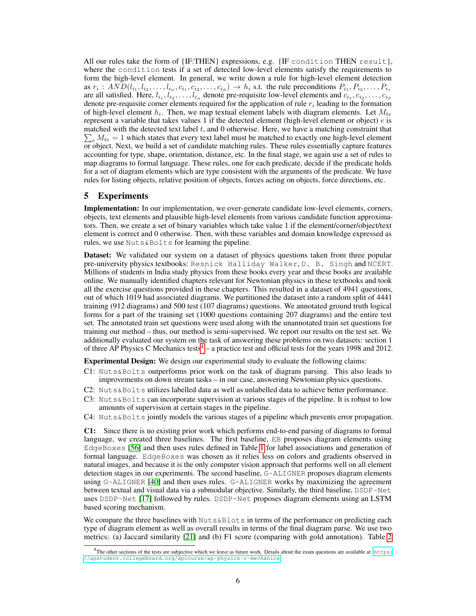All our rules take the form of  ${IF:THEN}$  expressions, e.g.  ${IF:conf}$  condition THEN result}, where the condition tests if a set of detected low-level elements satisfy the requirements to form the high-level element. In general, we write down a rule for high-level element detection as  $r_i: AND(l_{i_1}, l_{i_2}, \ldots, l_{i_\alpha}, c_{i_1}, c_{i_2}, \ldots, c_{i_\beta}) \to h_i$  s.t. the rule preconditions  $P_{i_1}, P_{i_2}, \ldots, P_{i_\gamma}$ are all satisfied. Here,  $l_{i_1}, l_{i_2}, \ldots, l_{i_\alpha}$  denote pre-requisite low-level elements and  $c_{i_1}, c_{i_2}, \ldots, c_{i_\beta}$ denote pre-requisite corner elements required for the application of rule  $r_i$  leading to the formation of high-level element  $h_i$ . Then, we map textual element labels with diagram elements. Let  $M_{te}$ represent a variable that takes values 1 if the detected element (high-level element or object)  $e$  is matched with the detected text label  $t$ , and 0 otherwise. Here, we have a matching constraint that  $\sum_{e} M_{te} = 1$  which states that every text label must be matched to exactly one high-level element or object. Next, we build a set of candidate matching rules. These rules essentially capture features accounting for type, shape, orientation, distance, etc. In the final stage, we again use a set of rules to map diagrams to formal language. These rules, one for each predicate, decide if the predicate holds for a set of diagram elements which are type consistent with the arguments of the predicate. We have rules for listing objects, relative position of objects, forces acting on objects, force directions, etc.

### 5 Experiments

Implementation: In our implementation, we over-generate candidate low-level elements, corners, objects, text elements and plausible high-level elements from various candidate function approximators. Then, we create a set of binary variables which take value 1 if the element/corner/object/text element is correct and 0 otherwise. Then, with these variables and domain knowledge expressed as rules, we use Nuts&Bolts for learning the pipeline.

Dataset: We validated our system on a dataset of physics questions taken from three popular pre-university physics textbooks: Resnick Halliday Walker, D. B. Singh and NCERT. Millions of students in India study physics from these books every year and these books are available online. We manually identified chapters relevant for Newtonian physics in these textbooks and took all the exercise questions provided in these chapters. This resulted in a dataset of 4941 questions, out of which 1019 had associated diagrams. We partitioned the dataset into a random split of 4441 training (912 diagrams) and 500 test (107 diagrams) questions. We annotated ground truth logical forms for a part of the training set (1000 questions containing 207 diagrams) and the entire test set. The annotated train set questions were used along with the unannotated train set questions for training our method – thus, our method is semi-supervised. We report our results on the test set. We additionally evaluated our system on the task of answering these problems on two datasets: section 1 of three AP Physics C Mechanics tests<sup>4</sup> – a practice test and official tests for the years 1998 and 2012.

Experimental Design: We design our experimental study to evaluate the following claims:

- C1: Nuts&Bolts outperforms prior work on the task of diagram parsing. This also leads to improvements on down stream tasks – in our case, answering Newtonian physics questions.
- C2: Nuts&Bolts utilizes labelled data as well as unlabelled data to achieve better performance.
- C3: Nuts&Bolts can incorporate supervision at various stages of the pipeline. It is robust to low amounts of supervision at certain stages in the pipeline.
- C4: Nuts&Bolts jointly models the various stages of a pipeline which prevents error propagation.

C1: Since there is no existing prior work which performs end-to-end parsing of diagrams to formal language, we created three baselines. The first baseline, EB proposes diagram elements using EdgeBoxes [56] and then uses rules defined in Table 1 for label associations and generation of formal language. EdgeBoxes was chosen as it relies less on colors and gradients observed in natural images, and because it is the only computer vision approach that performs well on all element detection stages in our experiments. The second baseline, G-ALIGNER proposes diagram elements using G-ALIGNER [40] and then uses rules. G-ALIGNER works by maximizing the agreement between textual and visual data via a submodular objective. Similarly, the third baseline, DSDP-Net uses DSDP-Net [17] followed by rules. DSDP-Net proposes diagram elements using an LSTM based scoring mechanism.

We compare the three baselines with Nuts&Blots in terms of the performance on predicting each type of diagram element as well as overall results in terms of the final diagram parse. We use two metrics: (a) Jaccard similarity [21] and (b) F1 score (comparing with gold annotation). Table 2

<sup>&</sup>lt;sup>4</sup>The other sections of the tests are subjective which we leave as future work. Details about the exam questions are available at: [https:](https://apstudent.collegeboard.org/apcourse/ap-physics-c-mechanics) [//apstudent.collegeboard.org/apcourse/ap-physics-c-mechanics](https://apstudent.collegeboard.org/apcourse/ap-physics-c-mechanics)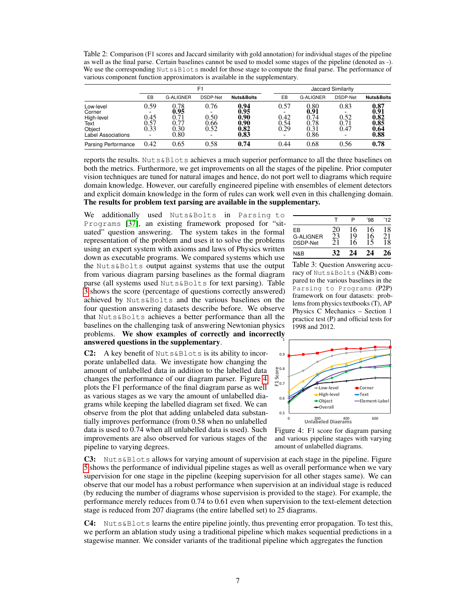Table 2: Comparison (F1 scores and Jaccard similarity with gold annotation) for individual stages of the pipeline as well as the final parse. Certain baselines cannot be used to model some stages of the pipeline (denoted as -). We use the corresponding Nuts&Blots model for those stage to compute the final parse. The performance of various component function approximators is available in the supplementary.

|                                                                                  |                                            |                                              | F1                             |                                                           | Jaccard Similarity               |                                              |                              |                                                                                 |  |  |  |
|----------------------------------------------------------------------------------|--------------------------------------------|----------------------------------------------|--------------------------------|-----------------------------------------------------------|----------------------------------|----------------------------------------------|------------------------------|---------------------------------------------------------------------------------|--|--|--|
|                                                                                  | EB                                         | <b>G-ALIGNER</b>                             | DSDP-Net                       | <b>Nuts&amp;Bolts</b>                                     | EB                               | <b>G-ALIGNER</b>                             | DSDP-Net                     | <b>Nuts&amp;Bolts</b>                                                           |  |  |  |
| Low-level<br>Corner<br>High-level<br>Text<br>Object<br><b>Label Associations</b> | 0.59<br>-<br>0.45<br>$0.57$<br>$0.33$<br>- | 0.78<br>0.95<br>0.71<br>0.77<br>0.30<br>0.80 | 0.76<br>0.50<br>$0.66 \\ 0.52$ | 0.94<br>0.95<br>0.90<br>$\substack{0.90 \\ 0.82}$<br>0.83 | 0.57<br>0.42<br>$0.54$<br>$0.29$ | 0.80<br>0.91<br>0.74<br>0.78<br>Ŏ.3Ī<br>0.86 | 0.83<br>0.52<br>0.71<br>0.47 | 0.87<br>$\begin{array}{c} 0.91 \\ 0.82 \end{array}$<br>$0.85$<br>$0.64$<br>0.88 |  |  |  |
| Parsing Performance                                                              | 0.42                                       | 0.65                                         | 0.58                           | 0.74                                                      | 0.44                             | 0.68                                         | 0.56                         | 0.78                                                                            |  |  |  |

reports the results. Nuts&Blots achieves a much superior performance to all the three baselines on both the metrics. Furthermore, we get improvements on all the stages of the pipeline. Prior computer vision techniques are tuned for natural images and hence, do not port well to diagrams which require domain knowledge. However, our carefully engineered pipeline with ensembles of element detectors and explicit domain knowledge in the form of rules can work well even in this challenging domain. The results for problem text parsing are available in the supplementary.

We additionally used Nuts&Bolts in Parsing to Programs [37], an existing framework proposed for "situated" question answering. The system takes in the formal representation of the problem and uses it to solve the problems using an expert system with axioms and laws of Physics written down as executable programs. We compared systems which use the Nuts&Bolts output against systems that use the output from various diagram parsing baselines as the formal diagram parse (all systems used Nuts&Bolts for text parsing). Table 3 shows the score (percentage of questions correctly answered) achieved by Nuts&Bolts and the various baselines on the four question answering datasets describe before. We observe that Nuts&Bolts achieves a better performance than all the baselines on the challenging task of answering Newtonian physics problems. We show examples of correctly and incorrectly answered questions in the supplementary.

C2: A key benefit of Nuts&Blots is its ability to incorporate unlabelled data. We investigate how changing the amount of unlabelled data in addition to the labelled data changes the performance of our diagram parser. Figure 4 plots the F1 performance of the final diagram parse as well as various stages as we vary the amount of unlabelled diagrams while keeping the labelled diagram set fixed. We can observe from the plot that adding unlabeled data substantially improves performance (from 0.58 when no unlabelled data is used to 0.74 when all unlabelled data is used). Such improvements are also observed for various stages of the pipeline to varying degrees.

|                                    |     | ◻            | 98'            | '12      |
|------------------------------------|-----|--------------|----------------|----------|
| EB<br><b>G-ALIGNER</b><br>DSDP-Net | 20  | 16<br>9<br>6 | 16<br>6<br>5   | 18<br>18 |
| N&B                                | -42 | ∕ (          | $\overline{A}$ |          |

Table 3: Question Answering accuracy of Nuts&Bolts (N&B) compared to the various baselines in the Parsing to Programs (P2P) framework on four datasets: problems from physics textbooks (T), AP Physics C Mechanics – Section 1 practice test (P) and official tests for 1998 and 2012.



Figure 4: F1 score for diagram parsing and various pipeline stages with varying

amount of unlabelled diagrams.

C3: Nuts&Blots allows for varying amount of supervision at each stage in the pipeline. Figure 5 shows the performance of individual pipeline stages as well as overall performance when we vary supervision for one stage in the pipeline (keeping supervision for all other stages same). We can observe that our model has a robust performance when supervision at an individual stage is reduced (by reducing the number of diagrams whose supervision is provided to the stage). For example, the performance merely reduces from 0.74 to 0.61 even when supervision to the text-element detection stage is reduced from 207 diagrams (the entire labelled set) to 25 diagrams.

 $C4:$  Nuts&Blots learns the entire pipeline jointly, thus preventing error propagation. To test this, we perform an ablation study using a traditional pipeline which makes sequential predictions in a stagewise manner. We consider variants of the traditional pipeline which aggregates the function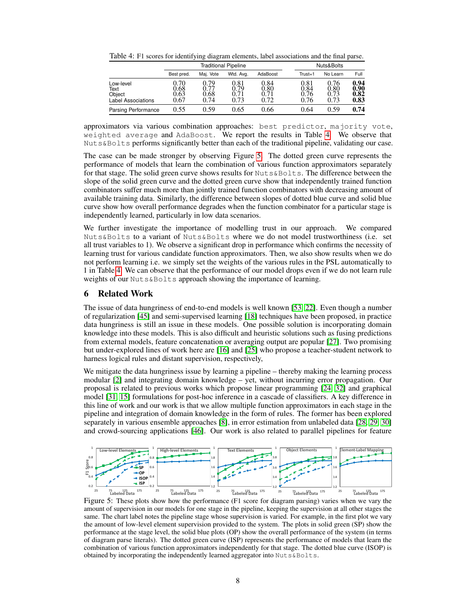Table 4: F1 scores for identifying diagram elements, label associations and the final parse.

|                                                          |                              | <b>Traditional Pipeline</b> | Nuts&Bolts                 |                              |                              |                              |                              |
|----------------------------------------------------------|------------------------------|-----------------------------|----------------------------|------------------------------|------------------------------|------------------------------|------------------------------|
|                                                          | Best pred.                   | Mai. Vote                   | Wtd. Avg.                  | AdaBoost                     | $Trust = 1$                  | No Learn                     | Full                         |
| Low-level<br>Text<br>Object<br><b>Label Associations</b> | 9.70<br>0.68<br>0.63<br>0.67 | 0.79<br>0.68<br>0.74        | 0.81<br>0.79<br>71<br>0.73 | 0.84<br>0.80<br>0.71<br>0.72 | 0.81<br>0.84<br>0.76<br>0.76 | 0.76<br>0.80<br>0.73<br>0.73 | 0.94<br>0.90<br>0.82<br>0.83 |
| Parsing Performance                                      | 0.55                         | 0.59                        | 0.65                       | 0.66                         | 0.64                         | 0.59                         | 0.74                         |

approximators via various combination approaches: best predictor, majority vote, weighted average and AdaBoost. We report the results in Table 4. We observe that Nuts&Bolts performs significantly better than each of the traditional pipeline, validating our case.

The case can be made stronger by observing Figure 5. The dotted green curve represents the performance of models that learn the combination of various function approximators separately for that stage. The solid green curve shows results for Nuts&Bolts. The difference between the slope of the solid green curve and the dotted green curve show that independently trained function combinators suffer much more than jointly trained function combinators with decreasing amount of available training data. Similarly, the difference between slopes of dotted blue curve and solid blue curve show how overall performance degrades when the function combinator for a particular stage is independently learned, particularly in low data scenarios.

We further investigate the importance of modelling trust in our approach. We compared Nuts&Bolts to a variant of Nuts&Bolts where we do not model trustworthiness (i.e. set all trust variables to 1). We observe a significant drop in performance which confirms the necessity of learning trust for various candidate function approximators. Then, we also show results when we do not perform learning i.e. we simply set the weights of the various rules in the PSL automatically to 1 in Table 4. We can observe that the performance of our model drops even if we do not learn rule weights of our Nuts&Bolts approach showing the importance of learning.

### 6 Related Work

The issue of data hungriness of end-to-end models is well known [53, 22]. Even though a number of regularization [45] and semi-supervised learning [18] techniques have been proposed, in practice data hungriness is still an issue in these models. One possible solution is incorporating domain knowledge into these models. This is also difficult and heuristic solutions such as fusing predictions from external models, feature concatenation or averaging output are popular [27]. Two promising but under-explored lines of work here are [16] and [25] who propose a teacher-student network to harness logical rules and distant supervision, respectively,

We mitigate the data hungriness issue by learning a pipeline – thereby making the learning process modular [2] and integrating domain knowledge – yet, without incurring error propagation. Our proposal is related to previous works which propose linear programming [24, 32] and graphical model [31, 15] formulations for post-hoc inference in a cascade of classifiers. A key difference in this line of work and our work is that we allow multiple function approximators in each stage in the pipeline and integration of domain knowledge in the form of rules. The former has been explored separately in various ensemble approaches [8], in error estimation from unlabeled data [28, 29, 30] and crowd-sourcing applications [46]. Our work is also related to parallel pipelines for feature



Figure 5: These plots show how the performance (F1 score for diagram parsing) varies when we vary the amount of supervision in our models for one stage in the pipeline, keeping the supervision at all other stages the same. The chart label notes the pipeline stage whose supervision is varied. For example, in the first plot we vary the amount of low-level element supervision provided to the system. The plots in solid green (SP) show the performance at the stage level, the solid blue plots (OP) show the overall performance of the system (in terms of diagram parse literals). The dotted green curve (ISP) represents the performance of models that learn the combination of various function approximators independently for that stage. The dotted blue curve (ISOP) is obtained by incorporating the independently learned aggregator into Nuts&Bolts.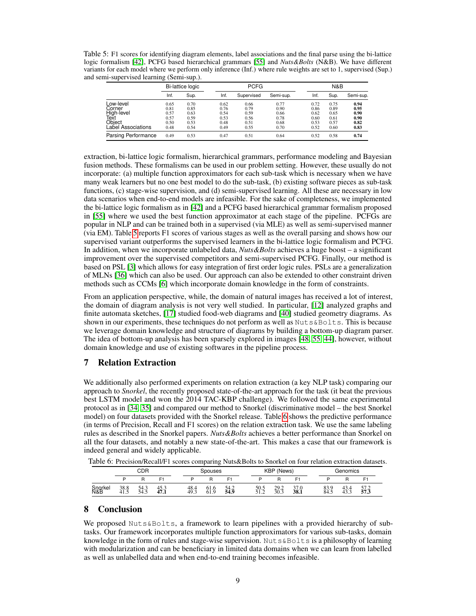Table 5: F1 scores for identifying diagram elements, label associations and the final parse using the bi-lattice logic formalism [42], PCFG based hierarchical grammars [55] and *Nuts&Bolts* (N&B). We have different variants for each model where we perform only inference (Inf.) where rule weights are set to 1, supervised (Sup.) and semi-supervised learning (Semi-sup.).

|                     |      | <b>Bi-lattice logic</b> |      | <b>PCFG</b> |           |      |      | N&B       |  |  |  |
|---------------------|------|-------------------------|------|-------------|-----------|------|------|-----------|--|--|--|
|                     | Inf. | Sup.                    | Inf. | Supervised  | Semi-sup. | Inf. | Sup. | Semi-sup. |  |  |  |
| Low-level           | 0.65 | 0.70                    | 0.62 | 0.66        | 0.77      | 0.72 | 0.75 | 0.94      |  |  |  |
| Corner              | 0.81 | 0.85                    | 0.76 | 0.79        | 0.90      | 0.86 | 0.89 | 0.95      |  |  |  |
| High-level          | 0.57 | 0.63                    | 0.54 | 0.59        | 0.66      | 0.62 | 0.65 | 0.90      |  |  |  |
|                     | 0.57 | 0.59                    | 0.53 | 0.56        | 0.78      | 0.60 | 0.61 | 0.90      |  |  |  |
| Text<br>Object      | 0.50 | 0.53                    | 0.48 | 0.51        | 0.68      | 0.53 | 0.57 | 0.82      |  |  |  |
| Laɓel Associations  | 0.48 | 0.54                    | 0.49 | 0.55        | 0.70      | 0.52 | 0.60 | 0.83      |  |  |  |
| Parsing Performance | 0.49 | 0.53                    | 0.47 | 0.51        | 0.64      | 0.52 | 0.58 | 0.74      |  |  |  |

extraction, bi-lattice logic formalism, hierarchical grammars, performance modeling and Bayesian fusion methods. These formalisms can be used in our problem setting. However, these usually do not incorporate: (a) multiple function approximators for each sub-task which is necessary when we have many weak learners but no one best model to do the sub-task, (b) existing software pieces as sub-task functions, (c) stage-wise supervision, and (d) semi-supervised learning. All these are necessary in low data scenarios when end-to-end models are infeasible. For the sake of completeness, we implemented the bi-lattice logic formalism as in [42] and a PCFG based hierarchical grammar formalism proposed in [55] where we used the best function approximator at each stage of the pipeline. PCFGs are popular in NLP and can be trained both in a supervised (via MLE) as well as semi-supervised manner (via EM). Table 5 reports F1 scores of various stages as well as the overall parsing and shows how our supervised variant outperforms the supervised learners in the bi-lattice logic formalism and PCFG. In addition, when we incorporate unlabeled data, *Nuts&Bolts* achieves a huge boost – a significant improvement over the supervised competitors and semi-supervised PCFG. Finally, our method is based on PSL [3] which allows for easy integration of first order logic rules. PSLs are a generalization of MLNs [36] which can also be used. Our approach can also be extended to other constraint driven methods such as CCMs [6] which incorporate domain knowledge in the form of constraints.

From an application perspective, while, the domain of natural images has received a lot of interest, the domain of diagram analysis is not very well studied. In particular, [12] analyzed graphs and finite automata sketches, [17] studied food-web diagrams and [40] studied geometry diagrams. As shown in our experiments, these techniques do not perform as well as  $Nuts@Bolts$ . This is because we leverage domain knowledge and structure of diagrams by building a bottom-up diagram parser. The idea of bottom-up analysis has been sparsely explored in images [48, 55, 44], however, without domain knowledge and use of existing softwares in the pipeline process.

## 7 Relation Extraction

We additionally also performed experiments on relation extraction (a key NLP task) comparing our approach to *Snorkel*, the recently proposed state-of-the-art approach for the task (it beat the previous best LSTM model and won the 2014 TAC-KBP challenge). We followed the same experimental protocol as in [34, 35] and compared our method to Snorkel (discriminative model – the best Snorkel model) on four datasets provided with the Snorkel release. Table 6 shows the predictive performance (in terms of Precision, Recall and F1 scores) on the relation extraction task. We use the same labeling rules as described in the Snorkel papers. *Nuts&Bolts* achieves a better performance than Snorkel on all the four datasets, and notably a new state-of-the-art. This makes a case that our framework is indeed general and widely applicable.

| Table 6: Precision/Recall/F1 scores comparing Nuts&Bolts to Snorkel on four relation extraction datasets. |  |  |  |  |  |
|-----------------------------------------------------------------------------------------------------------|--|--|--|--|--|
|-----------------------------------------------------------------------------------------------------------|--|--|--|--|--|

|                | CDR         |              | Spouses      |              |              | KBP (News)   |                       |              | Genomics               |              |             |              |
|----------------|-------------|--------------|--------------|--------------|--------------|--------------|-----------------------|--------------|------------------------|--------------|-------------|--------------|
|                | г           | R            | г.           | D            |              |              |                       | n            |                        |              |             |              |
| Snorkel<br>N&B | 38.8<br>41. | 54.3<br>54.5 | 45.3<br>47.1 | 48.4<br>49.3 | 61.6<br>61.9 | 54.2<br>54.9 | 50.5<br>51 2<br>ے ۔ ب | 29.2<br>30.3 | $\sim$<br>37.0<br>38.1 | 83.9<br>84.5 | 43.4<br>43. | 57.2<br>57.3 |

## 8 Conclusion

We proposed Nuts&Bolts, a framework to learn pipelines with a provided hierarchy of subtasks. Our framework incorporates multiple function approximators for various sub-tasks, domain knowledge in the form of rules and stage-wise supervision. Nuts&Bolts is a philosophy of learning with modularization and can be beneficiary in limited data domains when we can learn from labelled as well as unlabelled data and when end-to-end training becomes infeasible.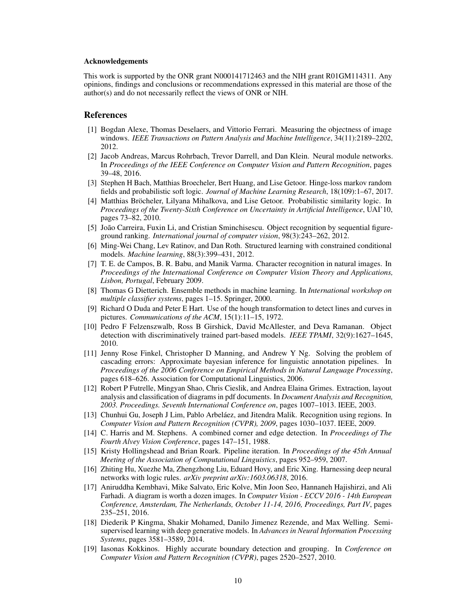#### Acknowledgements

This work is supported by the ONR grant N000141712463 and the NIH grant R01GM114311. Any opinions, findings and conclusions or recommendations expressed in this material are those of the author(s) and do not necessarily reflect the views of ONR or NIH.

#### References

- [1] Bogdan Alexe, Thomas Deselaers, and Vittorio Ferrari. Measuring the objectness of image windows. *IEEE Transactions on Pattern Analysis and Machine Intelligence*, 34(11):2189–2202, 2012.
- [2] Jacob Andreas, Marcus Rohrbach, Trevor Darrell, and Dan Klein. Neural module networks. In *Proceedings of the IEEE Conference on Computer Vision and Pattern Recognition*, pages 39–48, 2016.
- [3] Stephen H Bach, Matthias Broecheler, Bert Huang, and Lise Getoor. Hinge-loss markov random fields and probabilistic soft logic. *Journal of Machine Learning Research*, 18(109):1–67, 2017.
- [4] Matthias Bröcheler, Lilyana Mihalkova, and Lise Getoor. Probabilistic similarity logic. In *Proceedings of the Twenty-Sixth Conference on Uncertainty in Artificial Intelligence*, UAI'10, pages 73–82, 2010.
- [5] João Carreira, Fuxin Li, and Cristian Sminchisescu. Object recognition by sequential figureground ranking. *International journal of computer vision*, 98(3):243–262, 2012.
- [6] Ming-Wei Chang, Lev Ratinov, and Dan Roth. Structured learning with constrained conditional models. *Machine learning*, 88(3):399–431, 2012.
- [7] T. E. de Campos, B. R. Babu, and Manik Varma. Character recognition in natural images. In *Proceedings of the International Conference on Computer Vision Theory and Applications, Lisbon, Portugal*, February 2009.
- [8] Thomas G Dietterich. Ensemble methods in machine learning. In *International workshop on multiple classifier systems*, pages 1–15. Springer, 2000.
- [9] Richard O Duda and Peter E Hart. Use of the hough transformation to detect lines and curves in pictures. *Communications of the ACM*, 15(1):11–15, 1972.
- [10] Pedro F Felzenszwalb, Ross B Girshick, David McAllester, and Deva Ramanan. Object detection with discriminatively trained part-based models. *IEEE TPAMI*, 32(9):1627–1645, 2010.
- [11] Jenny Rose Finkel, Christopher D Manning, and Andrew Y Ng. Solving the problem of cascading errors: Approximate bayesian inference for linguistic annotation pipelines. In *Proceedings of the 2006 Conference on Empirical Methods in Natural Language Processing*, pages 618–626. Association for Computational Linguistics, 2006.
- [12] Robert P Futrelle, Mingyan Shao, Chris Cieslik, and Andrea Elaina Grimes. Extraction, layout analysis and classification of diagrams in pdf documents. In *Document Analysis and Recognition, 2003. Proceedings. Seventh International Conference on*, pages 1007–1013. IEEE, 2003.
- [13] Chunhui Gu, Joseph J Lim, Pablo Arbeláez, and Jitendra Malik. Recognition using regions. In *Computer Vision and Pattern Recognition (CVPR), 2009*, pages 1030–1037. IEEE, 2009.
- [14] C. Harris and M. Stephens. A combined corner and edge detection. In *Proceedings of The Fourth Alvey Vision Conference*, pages 147–151, 1988.
- [15] Kristy Hollingshead and Brian Roark. Pipeline iteration. In *Proceedings of the 45th Annual Meeting of the Association of Computational Linguistics*, pages 952–959, 2007.
- [16] Zhiting Hu, Xuezhe Ma, Zhengzhong Liu, Eduard Hovy, and Eric Xing. Harnessing deep neural networks with logic rules. *arXiv preprint arXiv:1603.06318*, 2016.
- [17] Aniruddha Kembhavi, Mike Salvato, Eric Kolve, Min Joon Seo, Hannaneh Hajishirzi, and Ali Farhadi. A diagram is worth a dozen images. In *Computer Vision - ECCV 2016 - 14th European Conference, Amsterdam, The Netherlands, October 11-14, 2016, Proceedings, Part IV*, pages 235–251, 2016.
- [18] Diederik P Kingma, Shakir Mohamed, Danilo Jimenez Rezende, and Max Welling. Semisupervised learning with deep generative models. In *Advances in Neural Information Processing Systems*, pages 3581–3589, 2014.
- [19] Iasonas Kokkinos. Highly accurate boundary detection and grouping. In *Conference on Computer Vision and Pattern Recognition (CVPR)*, pages 2520–2527, 2010.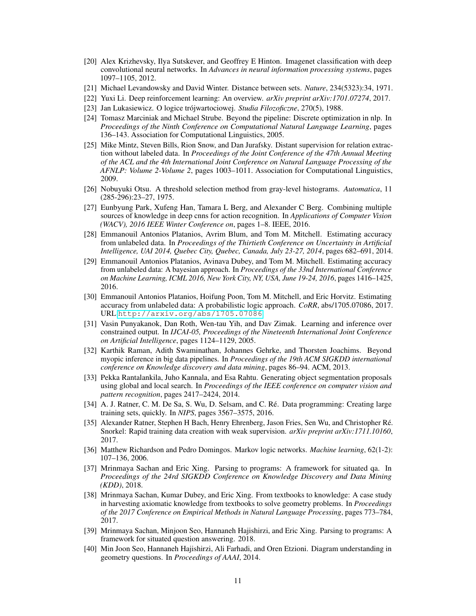- [20] Alex Krizhevsky, Ilya Sutskever, and Geoffrey E Hinton. Imagenet classification with deep convolutional neural networks. In *Advances in neural information processing systems*, pages 1097–1105, 2012.
- [21] Michael Levandowsky and David Winter. Distance between sets. *Nature*, 234(5323):34, 1971.
- [22] Yuxi Li. Deep reinforcement learning: An overview. *arXiv preprint arXiv:1701.07274*, 2017.
- [23] Jan Lukasiewicz. O logice trójwartociowej. *Studia Filozoficzne*, 270(5), 1988.
- [24] Tomasz Marciniak and Michael Strube. Beyond the pipeline: Discrete optimization in nlp. In *Proceedings of the Ninth Conference on Computational Natural Language Learning*, pages 136–143. Association for Computational Linguistics, 2005.
- [25] Mike Mintz, Steven Bills, Rion Snow, and Dan Jurafsky. Distant supervision for relation extraction without labeled data. In *Proceedings of the Joint Conference of the 47th Annual Meeting of the ACL and the 4th International Joint Conference on Natural Language Processing of the AFNLP: Volume 2-Volume 2*, pages 1003–1011. Association for Computational Linguistics, 2009.
- [26] Nobuyuki Otsu. A threshold selection method from gray-level histograms. *Automatica*, 11 (285-296):23–27, 1975.
- [27] Eunbyung Park, Xufeng Han, Tamara L Berg, and Alexander C Berg. Combining multiple sources of knowledge in deep cnns for action recognition. In *Applications of Computer Vision (WACV), 2016 IEEE Winter Conference on*, pages 1–8. IEEE, 2016.
- [28] Emmanouil Antonios Platanios, Avrim Blum, and Tom M. Mitchell. Estimating accuracy from unlabeled data. In *Proceedings of the Thirtieth Conference on Uncertainty in Artificial Intelligence, UAI 2014, Quebec City, Quebec, Canada, July 23-27, 2014*, pages 682–691, 2014.
- [29] Emmanouil Antonios Platanios, Avinava Dubey, and Tom M. Mitchell. Estimating accuracy from unlabeled data: A bayesian approach. In *Proceedings of the 33nd International Conference on Machine Learning, ICML 2016, New York City, NY, USA, June 19-24, 2016*, pages 1416–1425, 2016.
- [30] Emmanouil Antonios Platanios, Hoifung Poon, Tom M. Mitchell, and Eric Horvitz. Estimating accuracy from unlabeled data: A probabilistic logic approach. *CoRR*, abs/1705.07086, 2017. URL <http://arxiv.org/abs/1705.07086>.
- [31] Vasin Punyakanok, Dan Roth, Wen-tau Yih, and Dav Zimak. Learning and inference over constrained output. In *IJCAI-05, Proceedings of the Nineteenth International Joint Conference on Artificial Intelligence*, pages 1124–1129, 2005.
- [32] Karthik Raman, Adith Swaminathan, Johannes Gehrke, and Thorsten Joachims. Beyond myopic inference in big data pipelines. In *Proceedings of the 19th ACM SIGKDD international conference on Knowledge discovery and data mining*, pages 86–94. ACM, 2013.
- [33] Pekka Rantalankila, Juho Kannala, and Esa Rahtu. Generating object segmentation proposals using global and local search. In *Proceedings of the IEEE conference on computer vision and pattern recognition*, pages 2417–2424, 2014.
- [34] A. J. Ratner, C. M. De Sa, S. Wu, D. Selsam, and C. Ré. Data programming: Creating large training sets, quickly. In *NIPS*, pages 3567–3575, 2016.
- [35] Alexander Ratner, Stephen H Bach, Henry Ehrenberg, Jason Fries, Sen Wu, and Christopher Ré. Snorkel: Rapid training data creation with weak supervision. *arXiv preprint arXiv:1711.10160*, 2017.
- [36] Matthew Richardson and Pedro Domingos. Markov logic networks. *Machine learning*, 62(1-2): 107–136, 2006.
- [37] Mrinmaya Sachan and Eric Xing. Parsing to programs: A framework for situated qa. In *Proceedings of the 24rd SIGKDD Conference on Knowledge Discovery and Data Mining (KDD)*, 2018.
- [38] Mrinmaya Sachan, Kumar Dubey, and Eric Xing. From textbooks to knowledge: A case study in harvesting axiomatic knowledge from textbooks to solve geometry problems. In *Proceedings of the 2017 Conference on Empirical Methods in Natural Language Processing*, pages 773–784, 2017.
- [39] Mrinmaya Sachan, Minjoon Seo, Hannaneh Hajishirzi, and Eric Xing. Parsing to programs: A framework for situated question answering. 2018.
- [40] Min Joon Seo, Hannaneh Hajishirzi, Ali Farhadi, and Oren Etzioni. Diagram understanding in geometry questions. In *Proceedings of AAAI*, 2014.